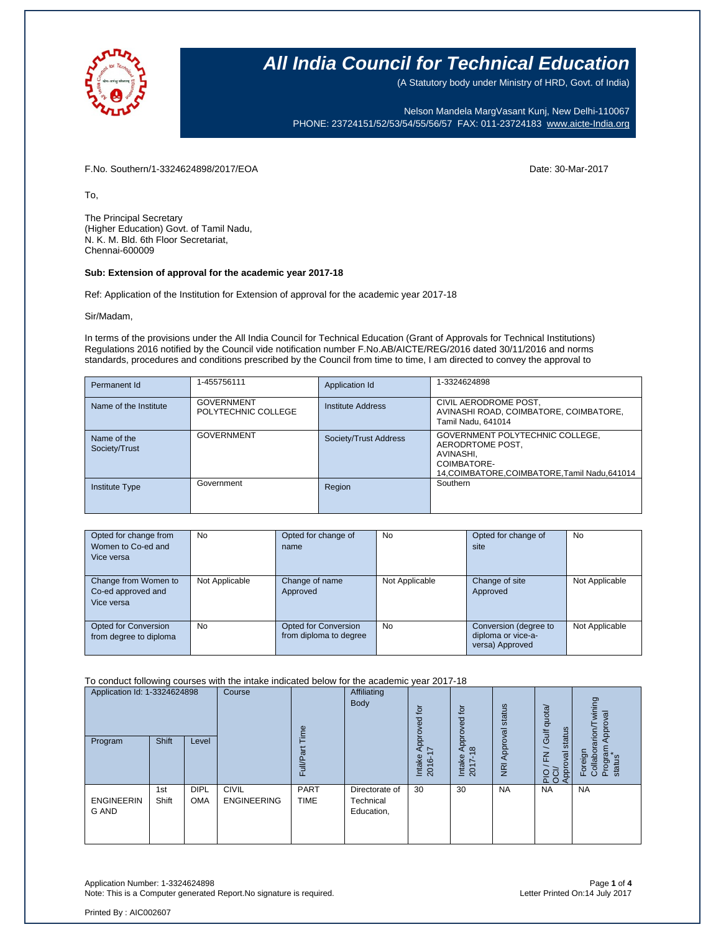

(A Statutory body under Ministry of HRD, Govt. of India)

Nelson Mandela MargVasant Kunj, New Delhi-110067 PHONE: 23724151/52/53/54/55/56/57 FAX: 011-23724183 [www.aicte-India.org](http://www.aicte-india.org/)

F.No. Southern/1-3324624898/2017/EOA Date: 30-Mar-2017

To,

The Principal Secretary (Higher Education) Govt. of Tamil Nadu, N. K. M. Bld. 6th Floor Secretariat, Chennai-600009

#### **Sub: Extension of approval for the academic year 2017-18**

Ref: Application of the Institution for Extension of approval for the academic year 2017-18

Sir/Madam,

In terms of the provisions under the All India Council for Technical Education (Grant of Approvals for Technical Institutions) Regulations 2016 notified by the Council vide notification number F.No.AB/AICTE/REG/2016 dated 30/11/2016 and norms standards, procedures and conditions prescribed by the Council from time to time, I am directed to convey the approval to

| Permanent Id                 | 1-455756111                              | Application Id        | 1-3324624898                                                                                                                      |
|------------------------------|------------------------------------------|-----------------------|-----------------------------------------------------------------------------------------------------------------------------------|
| Name of the Institute        | <b>GOVERNMENT</b><br>POLYTECHNIC COLLEGE | Institute Address     | CIVIL AERODROME POST.<br>AVINASHI ROAD, COIMBATORE, COIMBATORE,<br>Tamil Nadu, 641014                                             |
| Name of the<br>Society/Trust | <b>GOVERNMENT</b>                        | Society/Trust Address | GOVERNMENT POLYTECHNIC COLLEGE,<br>AERODRTOME POST.<br>AVINASHI.<br>COIMBATORE-<br>14, COIMBATORE, COIMBATORE, Tamil Nadu, 641014 |
| <b>Institute Type</b>        | Government                               | Region                | Southern                                                                                                                          |

| Opted for change from<br>Women to Co-ed and<br>Vice versa | <b>No</b>      | Opted for change of<br>name                    | <b>No</b>      | Opted for change of<br>site                                    | <b>No</b>      |
|-----------------------------------------------------------|----------------|------------------------------------------------|----------------|----------------------------------------------------------------|----------------|
| Change from Women to<br>Co-ed approved and<br>Vice versa  | Not Applicable | Change of name<br>Approved                     | Not Applicable | Change of site<br>Approved                                     | Not Applicable |
| Opted for Conversion<br>from degree to diploma            | <b>No</b>      | Opted for Conversion<br>from diploma to degree | <b>No</b>      | Conversion (degree to<br>diploma or vice-a-<br>versa) Approved | Not Applicable |

To conduct following courses with the intake indicated below for the academic year 2017-18

| Application Id: 1-3324624898<br>Program | <b>Shift</b> | Level                     | Course                             | euil<br>σ<br>$\bar{=}$<br>ш. | Affiliating<br>Body                       | Į<br>ಠ<br>2<br>Āppi<br>$\overline{\phantom{0}}$<br>Intake<br>2016 | tor<br>pproved<br>∢<br>$\infty$<br>Intake<br>2017 | Approval status<br>$\overline{R}$ | quota/<br>status<br><b>Jir</b><br>$\overline{\phantom{0}}$<br>준<br>pkoo<br>PIO<br>OCIX<br>Appro | wining<br>Approval<br>arion<br>Program<br>Foreign<br>Collabor<br>status |
|-----------------------------------------|--------------|---------------------------|------------------------------------|------------------------------|-------------------------------------------|-------------------------------------------------------------------|---------------------------------------------------|-----------------------------------|-------------------------------------------------------------------------------------------------|-------------------------------------------------------------------------|
| <b>ENGINEERIN</b><br>G AND              | 1st<br>Shift | <b>DIPL</b><br><b>OMA</b> | <b>CIVIL</b><br><b>ENGINEERING</b> | <b>PART</b><br><b>TIME</b>   | Directorate of<br>Technical<br>Education, | 30                                                                | 30                                                | <b>NA</b>                         | <b>NA</b>                                                                                       | <b>NA</b>                                                               |

Application Number: 1-3324624898 Page **1** of **4** Note: This is a Computer generated Report. No signature is required.

Printed By : AIC002607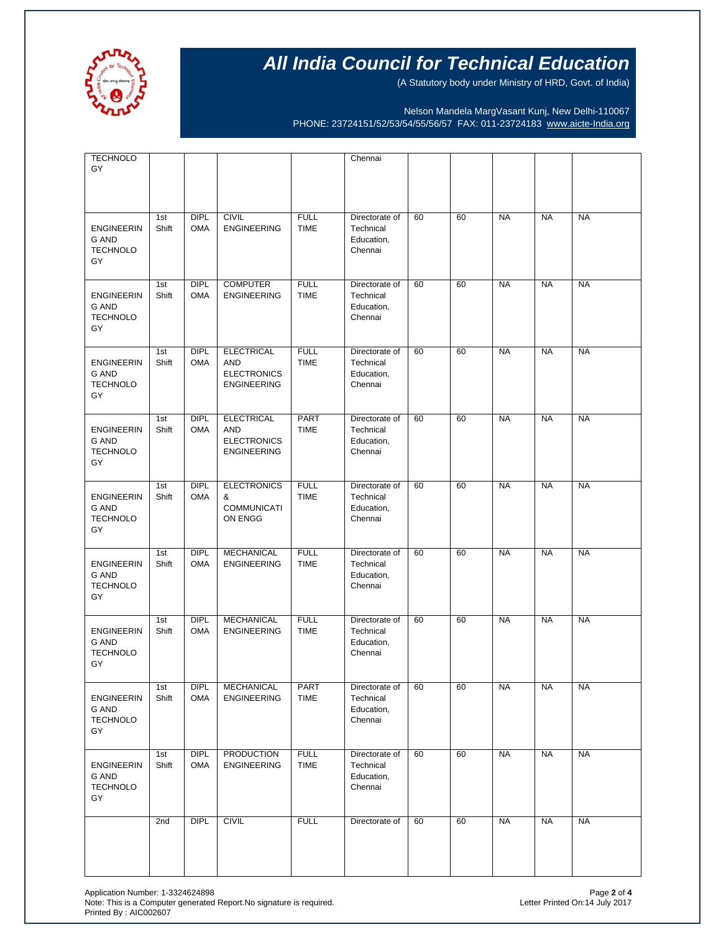

(A Statutory body under Ministry of HRD, Govt. of India)

Nelson Mandela MargVasant Kunj, New Delhi-110067 PHONE: 23724151/52/53/54/55/56/57 FAX: 011-23724183 [www.aicte-India.org](http://www.aicte-india.org/)

| <b>TECHNOLO</b>                                            |              |                           |                                                                             |                            | Chennai                                              |    |    |           |           |           |
|------------------------------------------------------------|--------------|---------------------------|-----------------------------------------------------------------------------|----------------------------|------------------------------------------------------|----|----|-----------|-----------|-----------|
| GY                                                         |              |                           |                                                                             |                            |                                                      |    |    |           |           |           |
|                                                            |              |                           |                                                                             |                            |                                                      |    |    |           |           |           |
| <b>ENGINEERIN</b><br>G AND<br><b>TECHNOLO</b><br>GY        | 1st<br>Shift | <b>DIPL</b><br><b>OMA</b> | <b>CIVIL</b><br><b>ENGINEERING</b>                                          | <b>FULL</b><br><b>TIME</b> | Directorate of<br>Technical<br>Education,<br>Chennai | 60 | 60 | <b>NA</b> | <b>NA</b> | <b>NA</b> |
| <b>ENGINEERIN</b><br>G AND<br><b>TECHNOLO</b><br>GY        | 1st<br>Shift | DIPL<br><b>OMA</b>        | <b>COMPUTER</b><br><b>ENGINEERING</b>                                       | <b>FULL</b><br><b>TIME</b> | Directorate of<br>Technical<br>Education,<br>Chennai | 60 | 60 | <b>NA</b> | <b>NA</b> | <b>NA</b> |
| <b>ENGINEERIN</b><br>G AND<br><b>TECHNOLO</b><br>GY        | 1st<br>Shift | <b>DIPL</b><br><b>OMA</b> | <b>ELECTRICAL</b><br><b>AND</b><br><b>ELECTRONICS</b><br><b>ENGINEERING</b> | <b>FULL</b><br><b>TIME</b> | Directorate of<br>Technical<br>Education,<br>Chennai | 60 | 60 | <b>NA</b> | <b>NA</b> | <b>NA</b> |
| <b>ENGINEERIN</b><br>G AND<br><b>TECHNOLO</b><br>GY        | 1st<br>Shift | <b>DIPL</b><br><b>OMA</b> | <b>ELECTRICAL</b><br><b>AND</b><br><b>ELECTRONICS</b><br><b>ENGINEERING</b> | PART<br><b>TIME</b>        | Directorate of<br>Technical<br>Education,<br>Chennai | 60 | 60 | <b>NA</b> | <b>NA</b> | <b>NA</b> |
| <b>ENGINEERIN</b><br><b>G AND</b><br><b>TECHNOLO</b><br>GY | 1st<br>Shift | <b>DIPL</b><br><b>OMA</b> | <b>ELECTRONICS</b><br>&<br><b>COMMUNICATI</b><br>ON ENGG                    | <b>FULL</b><br><b>TIME</b> | Directorate of<br>Technical<br>Education,<br>Chennai | 60 | 60 | <b>NA</b> | <b>NA</b> | <b>NA</b> |
| <b>ENGINEERIN</b><br>G AND<br><b>TECHNOLO</b><br>GY        | 1st<br>Shift | <b>DIPL</b><br><b>OMA</b> | <b>MECHANICAL</b><br><b>ENGINEERING</b>                                     | <b>FULL</b><br><b>TIME</b> | Directorate of<br>Technical<br>Education,<br>Chennai | 60 | 60 | <b>NA</b> | <b>NA</b> | <b>NA</b> |
| <b>ENGINEERIN</b><br>G AND<br><b>TECHNOLO</b><br>GY        | 1st<br>Shift | <b>DIPL</b><br><b>OMA</b> | <b>MECHANICAL</b><br><b>ENGINEERING</b>                                     | <b>FULL</b><br><b>TIME</b> | Directorate of<br>Technical<br>Education,<br>Chennai | 60 | 60 | <b>NA</b> | <b>NA</b> | <b>NA</b> |
| <b>ENGINEERIN</b><br>G AND<br><b>TECHNOLO</b><br>GY        | 1st<br>Shift | DIPL<br><b>OMA</b>        | MECHANICAL<br><b>ENGINEERING</b>                                            | PART<br><b>TIME</b>        | Directorate of<br>Technical<br>Education,<br>Chennai | 60 | 60 | <b>NA</b> | <b>NA</b> | <b>NA</b> |
| <b>ENGINEERIN</b><br>G AND<br><b>TECHNOLO</b><br>GY        | 1st<br>Shift | <b>DIPL</b><br><b>OMA</b> | <b>PRODUCTION</b><br><b>ENGINEERING</b>                                     | <b>FULL</b><br><b>TIME</b> | Directorate of<br>Technical<br>Education,<br>Chennai | 60 | 60 | <b>NA</b> | <b>NA</b> | <b>NA</b> |
|                                                            | 2nd          | DIPL                      | <b>CIVIL</b>                                                                | <b>FULL</b>                | Directorate of                                       | 60 | 60 | <b>NA</b> | <b>NA</b> | <b>NA</b> |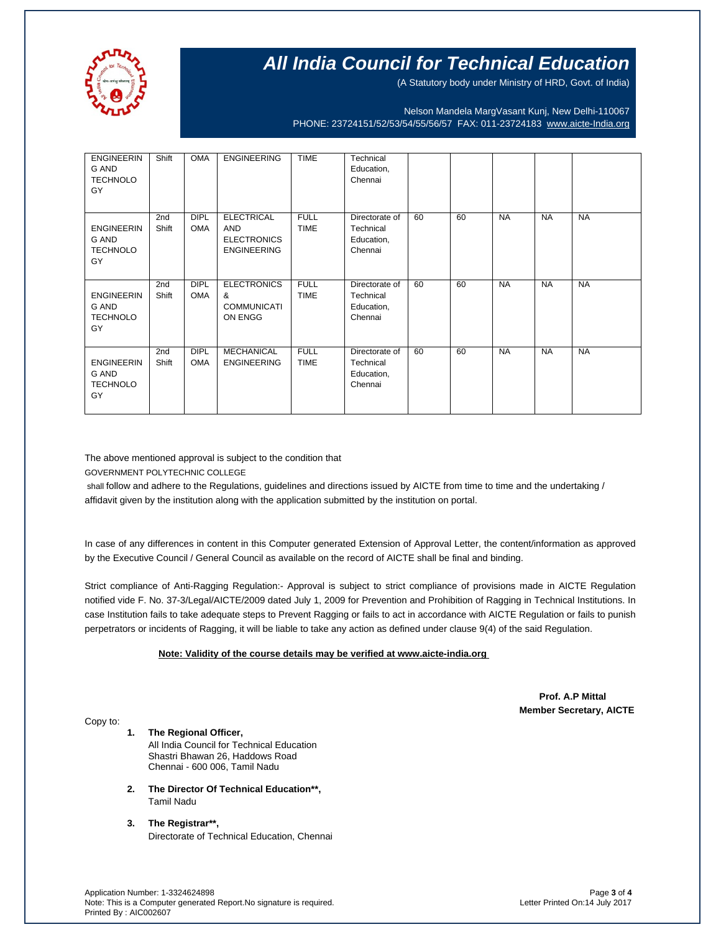

(A Statutory body under Ministry of HRD, Govt. of India)

Nelson Mandela MargVasant Kunj, New Delhi-110067 PHONE: 23724151/52/53/54/55/56/57 FAX: 011-23724183 [www.aicte-India.org](http://www.aicte-india.org/)

| <b>ENGINEERIN</b><br>G AND<br><b>TECHNOLO</b><br>GY        | Shift                    | <b>OMA</b>                | <b>ENGINEERING</b>                                                          | <b>TIME</b>                | Technical<br>Education,<br>Chennai                   |    |    |           |           |           |
|------------------------------------------------------------|--------------------------|---------------------------|-----------------------------------------------------------------------------|----------------------------|------------------------------------------------------|----|----|-----------|-----------|-----------|
| <b>ENGINEERIN</b><br>G AND<br><b>TECHNOLO</b><br>GY        | 2 <sub>nd</sub><br>Shift | <b>DIPL</b><br><b>OMA</b> | <b>ELECTRICAL</b><br><b>AND</b><br><b>ELECTRONICS</b><br><b>ENGINEERING</b> | <b>FULL</b><br><b>TIME</b> | Directorate of<br>Technical<br>Education,<br>Chennai | 60 | 60 | <b>NA</b> | <b>NA</b> | <b>NA</b> |
| <b>ENGINEERIN</b><br><b>G AND</b><br><b>TECHNOLO</b><br>GY | 2 <sub>nd</sub><br>Shift | <b>DIPL</b><br><b>OMA</b> | <b>ELECTRONICS</b><br>&<br><b>COMMUNICATI</b><br>ON ENGG                    | <b>FULL</b><br><b>TIME</b> | Directorate of<br>Technical<br>Education,<br>Chennai | 60 | 60 | <b>NA</b> | <b>NA</b> | <b>NA</b> |
| <b>ENGINEERIN</b><br><b>G AND</b><br><b>TECHNOLO</b><br>GY | 2 <sub>nd</sub><br>Shift | <b>DIPL</b><br><b>OMA</b> | <b>MECHANICAL</b><br><b>ENGINEERING</b>                                     | <b>FULL</b><br><b>TIME</b> | Directorate of<br>Technical<br>Education,<br>Chennai | 60 | 60 | <b>NA</b> | <b>NA</b> | <b>NA</b> |

The above mentioned approval is subject to the condition that

GOVERNMENT POLYTECHNIC COLLEGE

shall follow and adhere to the Regulations, guidelines and directions issued by AICTE from time to time and the undertaking / affidavit given by the institution along with the application submitted by the institution on portal.

In case of any differences in content in this Computer generated Extension of Approval Letter, the content/information as approved by the Executive Council / General Council as available on the record of AICTE shall be final and binding.

Strict compliance of Anti-Ragging Regulation:- Approval is subject to strict compliance of provisions made in AICTE Regulation notified vide F. No. 37-3/Legal/AICTE/2009 dated July 1, 2009 for Prevention and Prohibition of Ragging in Technical Institutions. In case Institution fails to take adequate steps to Prevent Ragging or fails to act in accordance with AICTE Regulation or fails to punish perpetrators or incidents of Ragging, it will be liable to take any action as defined under clause 9(4) of the said Regulation.

#### **Note: Validity of the course details may be verified at www.aicte-india.org**

 **Prof. A.P Mittal Member Secretary, AICTE**

Copy to:

**1. The Regional Officer,** All India Council for Technical Education Shastri Bhawan 26, Haddows Road Chennai - 600 006, Tamil Nadu

- **2. The Director Of Technical Education\*\*,** Tamil Nadu
- **3. The Registrar\*\*,** Directorate of Technical Education, Chennai